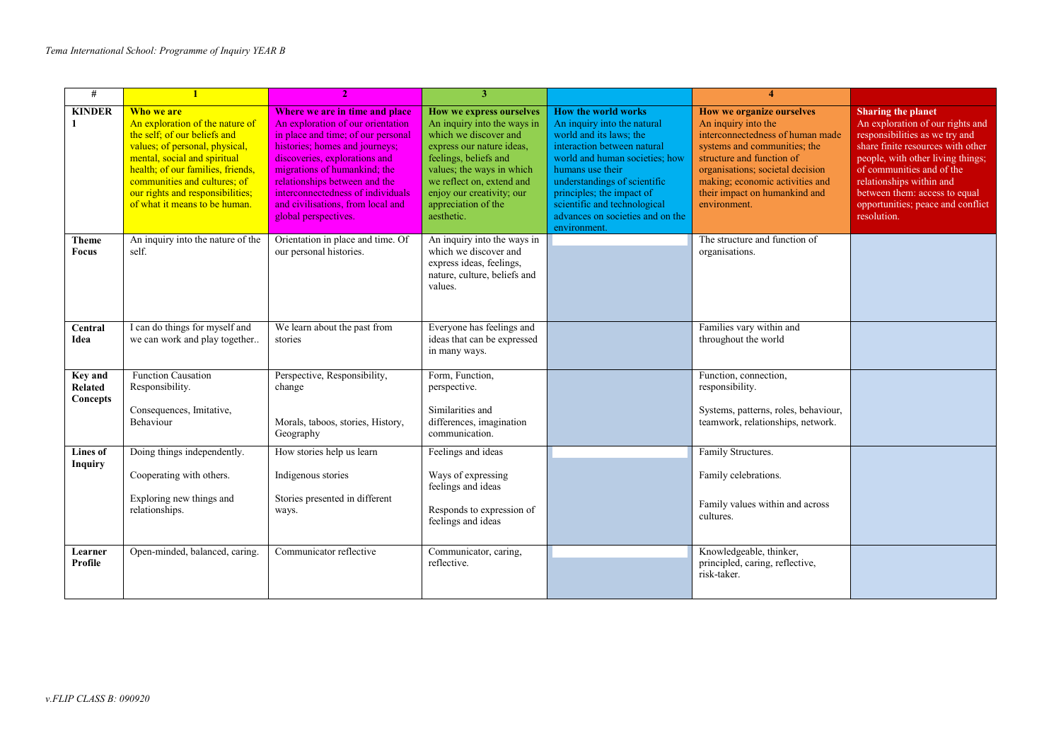| $\#$                                  | $\blacksquare$                                                                                                                                                                                                                                                                            |                                                                                                                                                                                                                                                                                                                                                 | 3                                                                                                                                                                                                                                                                  |                                                                                                                                                                                                                                                                                                                     | $\overline{4}$                                                                                                                                                                                                                                                            |                                                                                                                                                                                                                                                                                                                         |
|---------------------------------------|-------------------------------------------------------------------------------------------------------------------------------------------------------------------------------------------------------------------------------------------------------------------------------------------|-------------------------------------------------------------------------------------------------------------------------------------------------------------------------------------------------------------------------------------------------------------------------------------------------------------------------------------------------|--------------------------------------------------------------------------------------------------------------------------------------------------------------------------------------------------------------------------------------------------------------------|---------------------------------------------------------------------------------------------------------------------------------------------------------------------------------------------------------------------------------------------------------------------------------------------------------------------|---------------------------------------------------------------------------------------------------------------------------------------------------------------------------------------------------------------------------------------------------------------------------|-------------------------------------------------------------------------------------------------------------------------------------------------------------------------------------------------------------------------------------------------------------------------------------------------------------------------|
| <b>KINDER</b>                         | Who we are<br>An exploration of the nature of<br>the self; of our beliefs and<br>values; of personal, physical,<br>mental, social and spiritual<br>health; of our families, friends,<br>communities and cultures; of<br>our rights and responsibilities;<br>of what it means to be human. | Where we are in time and place<br>An exploration of our orientation<br>in place and time; of our personal<br>histories; homes and journeys;<br>discoveries, explorations and<br>migrations of humankind: the<br>relationships between and the<br>interconnectedness of individuals<br>and civilisations, from local and<br>global perspectives. | How we express ourselves<br>An inquiry into the ways in<br>which we discover and<br>express our nature ideas.<br>feelings, beliefs and<br>values; the ways in which<br>we reflect on, extend and<br>enjoy our creativity; our<br>appreciation of the<br>aesthetic. | How the world works<br>An inquiry into the natural<br>world and its laws; the<br>interaction between natural<br>world and human societies; how<br>humans use their<br>understandings of scientific<br>principles; the impact of<br>scientific and technological<br>advances on societies and on the<br>environment. | How we organize ourselves<br>An inquiry into the<br>interconnectedness of human made<br>systems and communities; the<br>structure and function of<br>organisations; societal decision<br>making; economic activities and<br>their impact on humankind and<br>environment. | <b>Sharing the planet</b><br>An exploration of our rights and<br>responsibilities as we try and<br>share finite resources with other<br>people, with other living things;<br>of communities and of the<br>relationships within and<br>between them: access to equal<br>opportunities; peace and conflict<br>resolution. |
| <b>Theme</b><br><b>Focus</b>          | An inquiry into the nature of the<br>self.                                                                                                                                                                                                                                                | Orientation in place and time. Of<br>our personal histories.                                                                                                                                                                                                                                                                                    | An inquiry into the ways in<br>which we discover and<br>express ideas, feelings,<br>nature, culture, beliefs and<br>values.                                                                                                                                        |                                                                                                                                                                                                                                                                                                                     | The structure and function of<br>organisations.                                                                                                                                                                                                                           |                                                                                                                                                                                                                                                                                                                         |
| Central<br>Idea                       | I can do things for myself and<br>we can work and play together                                                                                                                                                                                                                           | We learn about the past from<br>stories                                                                                                                                                                                                                                                                                                         | Everyone has feelings and<br>ideas that can be expressed<br>in many ways.                                                                                                                                                                                          |                                                                                                                                                                                                                                                                                                                     | Families vary within and<br>throughout the world                                                                                                                                                                                                                          |                                                                                                                                                                                                                                                                                                                         |
| <b>Key and</b><br>Related<br>Concepts | Function Causation<br>Responsibility.<br>Consequences, Imitative,<br>Behaviour                                                                                                                                                                                                            | Perspective, Responsibility,<br>change<br>Morals, taboos, stories, History,<br>Geography                                                                                                                                                                                                                                                        | Form, Function,<br>perspective.<br>Similarities and<br>differences, imagination<br>communication.                                                                                                                                                                  |                                                                                                                                                                                                                                                                                                                     | Function, connection,<br>responsibility.<br>Systems, patterns, roles, behaviour,<br>teamwork, relationships, network.                                                                                                                                                     |                                                                                                                                                                                                                                                                                                                         |
| <b>Lines of</b><br><b>Inquiry</b>     | Doing things independently.<br>Cooperating with others.<br>Exploring new things and<br>relationships.                                                                                                                                                                                     | How stories help us learn<br>Indigenous stories<br>Stories presented in different<br>ways.                                                                                                                                                                                                                                                      | Feelings and ideas<br>Ways of expressing<br>feelings and ideas<br>Responds to expression of<br>feelings and ideas                                                                                                                                                  |                                                                                                                                                                                                                                                                                                                     | Family Structures.<br>Family celebrations.<br>Family values within and across<br>cultures.                                                                                                                                                                                |                                                                                                                                                                                                                                                                                                                         |
| Learner<br>Profile                    | Open-minded, balanced, caring.                                                                                                                                                                                                                                                            | Communicator reflective                                                                                                                                                                                                                                                                                                                         | Communicator, caring,<br>reflective.                                                                                                                                                                                                                               |                                                                                                                                                                                                                                                                                                                     | Knowledgeable, thinker,<br>principled, caring, reflective,<br>risk-taker.                                                                                                                                                                                                 |                                                                                                                                                                                                                                                                                                                         |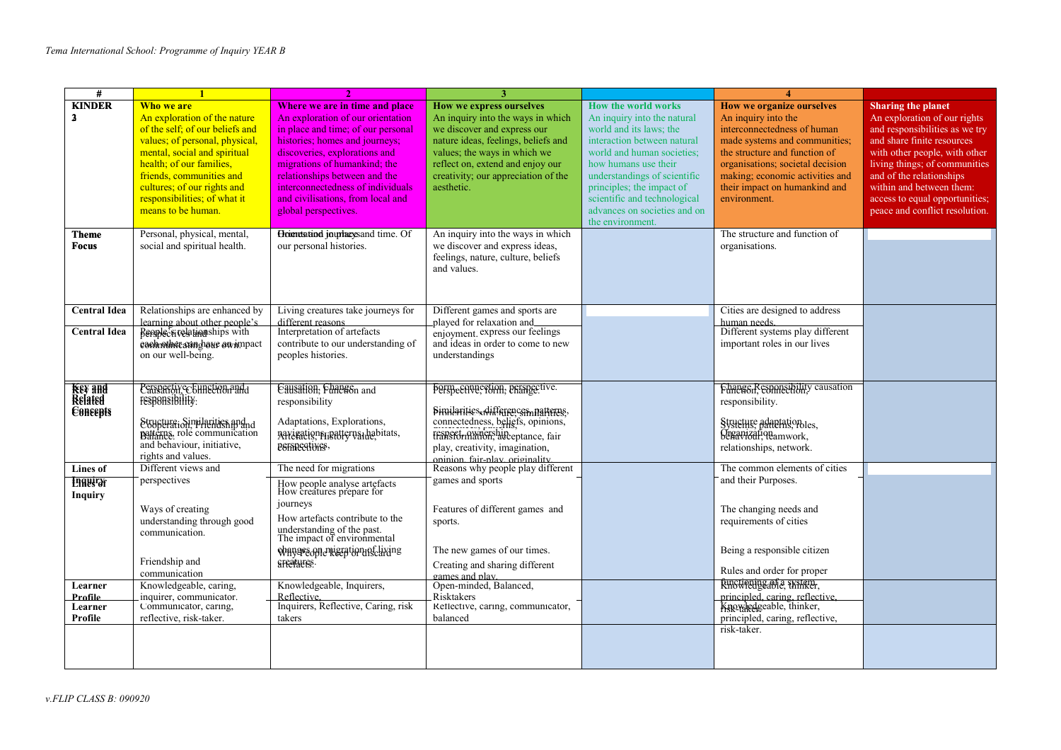| #                             |                                                                                        |                                                                      | 3                                                                         |                                                        | $\overline{\mathbf{4}}$                                      |                                                              |
|-------------------------------|----------------------------------------------------------------------------------------|----------------------------------------------------------------------|---------------------------------------------------------------------------|--------------------------------------------------------|--------------------------------------------------------------|--------------------------------------------------------------|
| <b>KINDER</b>                 | Who we are                                                                             | Where we are in time and place                                       | How we express ourselves                                                  | How the world works                                    | <b>How we organize ourselves</b>                             | <b>Sharing the planet</b>                                    |
| 3                             | An exploration of the nature                                                           | An exploration of our orientation                                    | An inquiry into the ways in which                                         | An inquiry into the natural                            | An inquiry into the                                          | An exploration of our rights                                 |
|                               | of the self: of our beliefs and<br>values; of personal, physical,                      | in place and time; of our personal<br>histories; homes and journeys; | we discover and express our<br>nature ideas, feelings, beliefs and        | world and its laws; the<br>interaction between natural | interconnectedness of human<br>made systems and communities; | and responsibilities as we try<br>and share finite resources |
|                               | mental, social and spiritual                                                           | discoveries, explorations and                                        | values; the ways in which we                                              | world and human societies;                             | the structure and function of                                | with other people, with other                                |
|                               | health; of our families,                                                               | migrations of humankind; the                                         | reflect on, extend and enjoy our                                          | how humans use their                                   | organisations; societal decision                             | living things; of communities                                |
|                               | friends, communities and                                                               | relationships between and the                                        | creativity; our appreciation of the                                       | understandings of scientific                           | making; economic activities and                              | and of the relationships                                     |
|                               | cultures; of our rights and                                                            | interconnectedness of individuals                                    | aesthetic.                                                                | principles; the impact of                              | their impact on humankind and                                | within and between them:                                     |
|                               | responsibilities; of what it                                                           | and civilisations, from local and                                    |                                                                           | scientific and technological                           | environment.                                                 | access to equal opportunities;                               |
|                               | means to be human.                                                                     | global perspectives.                                                 |                                                                           | advances on societies and on                           |                                                              | peace and conflict resolution.                               |
|                               |                                                                                        |                                                                      |                                                                           | the environment.                                       |                                                              |                                                              |
| <b>Theme</b>                  | Personal, physical, mental,                                                            | Hometstand journeys and time. Of                                     | An inquiry into the ways in which                                         |                                                        | The structure and function of                                |                                                              |
| <b>Focus</b>                  | social and spiritual health.                                                           | our personal histories.                                              | we discover and express ideas,                                            |                                                        | organisations.                                               |                                                              |
|                               |                                                                                        |                                                                      | feelings, nature, culture, beliefs                                        |                                                        |                                                              |                                                              |
|                               |                                                                                        |                                                                      | and values.                                                               |                                                        |                                                              |                                                              |
|                               |                                                                                        |                                                                      |                                                                           |                                                        |                                                              |                                                              |
|                               |                                                                                        |                                                                      |                                                                           |                                                        |                                                              |                                                              |
| <b>Central Idea</b>           | Relationships are enhanced by                                                          | Living creatures take journeys for                                   | Different games and sports are                                            |                                                        | Cities are designed to address                               |                                                              |
| <b>Central Idea</b>           | learning about other people's<br>Benplectivelationships with                           | different reasons<br>Interpretation of artefacts                     | played for relaxation and<br>enjoyment. express our feelings              |                                                        | human needs.<br>Different systems play different             |                                                              |
|                               | each other cam have awampact                                                           | contribute to our understanding of                                   | and ideas in order to come to new                                         |                                                        | important roles in our lives                                 |                                                              |
|                               | on our well-being.                                                                     | peoples histories.                                                   | understandings                                                            |                                                        |                                                              |                                                              |
|                               |                                                                                        |                                                                      |                                                                           |                                                        |                                                              |                                                              |
|                               |                                                                                        |                                                                      |                                                                           |                                                        |                                                              |                                                              |
| <del>Key and</del><br>Related | Perspactive Chinetion and                                                              | Causation, Funesson and                                              | Fermeenveetion, primeetive.                                               |                                                        | Funescon, esponsibility causation                            |                                                              |
|                               | responsibility.                                                                        | responsibility                                                       |                                                                           |                                                        | responsibility.                                              |                                                              |
| <b>E</b> BREER                |                                                                                        | Adaptations, Explorations,                                           | Similarities, differences, natterns,<br>connectedness, beliefs, opinions, |                                                        | Structure adaptation les,                                    |                                                              |
|                               |                                                                                        | APPLEation Friendle rual habitats,                                   | transformationship eptance, fair                                          |                                                        | Segavizationamwork,                                          |                                                              |
|                               | Structure: Similarities and not be attended in the patterns and behaviour, initiative, | PSFREGHVES,                                                          | play, creativity, imagination,                                            |                                                        | relationships, network.                                      |                                                              |
|                               | rights and values.                                                                     |                                                                      | oninion fair-play originality                                             |                                                        |                                                              |                                                              |
| Lines of                      | Different views and                                                                    | The need for migrations                                              | Reasons why people play different                                         |                                                        | The common elements of cities                                |                                                              |
| <b>Engelicit</b>              | perspectives                                                                           | How people analyse artefacts<br>How creatures prepare for            | games and sports                                                          |                                                        | and their Purposes.                                          |                                                              |
| <b>Inquiry</b>                |                                                                                        |                                                                      |                                                                           |                                                        |                                                              |                                                              |
|                               | Ways of creating                                                                       | journeys                                                             | Features of different games and                                           |                                                        | The changing needs and                                       |                                                              |
|                               | understanding through good                                                             | How artefacts contribute to the                                      | sports.                                                                   |                                                        | requirements of cities                                       |                                                              |
|                               | communication.                                                                         | understanding of the past.<br>The impact of environmental            |                                                                           |                                                        |                                                              |                                                              |
|                               |                                                                                        | whyaseople weed to unscuring                                         | The new games of our times.                                               |                                                        | Being a responsible citizen                                  |                                                              |
|                               | Friendship and                                                                         | arrendures.                                                          | Creating and sharing different                                            |                                                        |                                                              |                                                              |
|                               | communication                                                                          |                                                                      | games and play.                                                           |                                                        | Rules and order for proper                                   |                                                              |
| Learner                       | Knowledgeable, caring,                                                                 | Knowledgeable, Inquirers,                                            | Open-minded, Balanced,                                                    |                                                        | Ringtiquingable, Exstern,                                    |                                                              |
| Profile                       | inquirer, communicator.                                                                | Reflective.                                                          | Risktakers                                                                |                                                        | principled, caring, reflective.                              |                                                              |
| Learner                       | Communicator, caring,<br>reflective, risk-taker.                                       | Inquirers, Reflective, Caring, risk<br>takers                        | Reflective, caring, communicator,<br>balanced                             |                                                        | Knowledgeable, thinker,<br>principled, caring, reflective,   |                                                              |
| Profile                       |                                                                                        |                                                                      |                                                                           |                                                        | risk-taker.                                                  |                                                              |
|                               |                                                                                        |                                                                      |                                                                           |                                                        |                                                              |                                                              |
|                               |                                                                                        |                                                                      |                                                                           |                                                        |                                                              |                                                              |
|                               |                                                                                        |                                                                      |                                                                           |                                                        |                                                              |                                                              |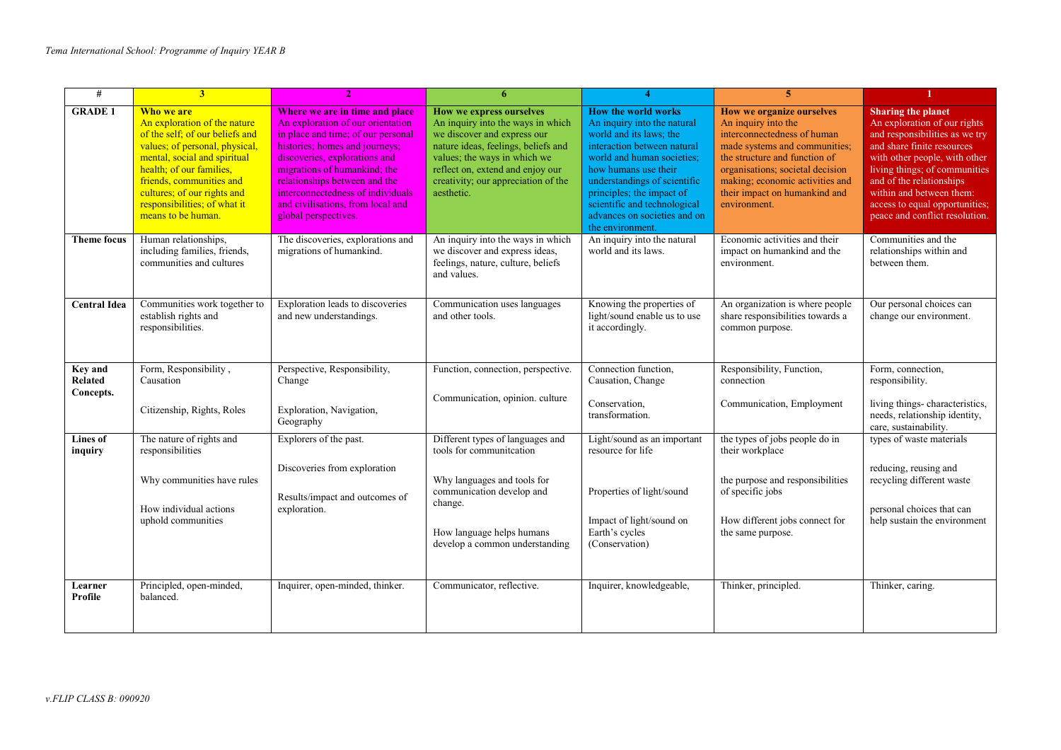| $\#$                                   | 3 <sup>1</sup>                                                                                                                                                                                                                                                                               |                                                                                                                                                                                                                                                                                                                                                 | 6                                                                                                                                                                                                                                                            |                                                                                                                                                                                                                                                                                                                            | 5                                                                                                                                                                                                                                                                         |                                                                                                                                                                                                                                                                                                                         |
|----------------------------------------|----------------------------------------------------------------------------------------------------------------------------------------------------------------------------------------------------------------------------------------------------------------------------------------------|-------------------------------------------------------------------------------------------------------------------------------------------------------------------------------------------------------------------------------------------------------------------------------------------------------------------------------------------------|--------------------------------------------------------------------------------------------------------------------------------------------------------------------------------------------------------------------------------------------------------------|----------------------------------------------------------------------------------------------------------------------------------------------------------------------------------------------------------------------------------------------------------------------------------------------------------------------------|---------------------------------------------------------------------------------------------------------------------------------------------------------------------------------------------------------------------------------------------------------------------------|-------------------------------------------------------------------------------------------------------------------------------------------------------------------------------------------------------------------------------------------------------------------------------------------------------------------------|
| <b>GRADE 1</b>                         | Who we are<br>An exploration of the nature<br>of the self; of our beliefs and<br>values; of personal, physical,<br>mental, social and spiritual<br>health: of our families.<br>friends, communities and<br>cultures; of our rights and<br>responsibilities; of what it<br>means to be human. | Where we are in time and place<br>An exploration of our orientation<br>in place and time; of our personal<br>histories; homes and journeys;<br>discoveries, explorations and<br>migrations of humankind; the<br>relationships between and the<br>interconnectedness of individuals<br>and civilisations, from local and<br>global perspectives. | How we express ourselves<br>An inquiry into the ways in which<br>we discover and express our<br>nature ideas, feelings, beliefs and<br>values; the ways in which we<br>reflect on, extend and enjoy our<br>creativity; our appreciation of the<br>aesthetic. | <b>How the world works</b><br>An inquiry into the natural<br>world and its laws; the<br>interaction between natural<br>world and human societies:<br>how humans use their<br>understandings of scientific<br>principles; the impact of<br>scientific and technological<br>advances on societies and on<br>the environment. | How we organize ourselves<br>An inquiry into the<br>interconnectedness of human<br>made systems and communities;<br>the structure and function of<br>organisations; societal decision<br>making; economic activities and<br>their impact on humankind and<br>environment. | <b>Sharing the planet</b><br>An exploration of our rights<br>and responsibilities as we try<br>and share finite resources<br>with other people, with other<br>living things; of communities<br>and of the relationships<br>within and between them:<br>access to equal opportunities;<br>peace and conflict resolution. |
| <b>Theme focus</b>                     | Human relationships,<br>including families, friends,<br>communities and cultures                                                                                                                                                                                                             | The discoveries, explorations and<br>migrations of humankind.                                                                                                                                                                                                                                                                                   | An inquiry into the ways in which<br>we discover and express ideas,<br>feelings, nature, culture, beliefs<br>and values.                                                                                                                                     | An inquiry into the natural<br>world and its laws.                                                                                                                                                                                                                                                                         | Economic activities and their<br>impact on humankind and the<br>environment.                                                                                                                                                                                              | Communities and the<br>relationships within and<br>between them.                                                                                                                                                                                                                                                        |
| <b>Central Idea</b>                    | Communities work together to<br>establish rights and<br>responsibilities.                                                                                                                                                                                                                    | Exploration leads to discoveries<br>and new understandings.                                                                                                                                                                                                                                                                                     | Communication uses languages<br>and other tools.                                                                                                                                                                                                             | Knowing the properties of<br>light/sound enable us to use<br>it accordingly.                                                                                                                                                                                                                                               | An organization is where people<br>share responsibilities towards a<br>common purpose.                                                                                                                                                                                    | Our personal choices can<br>change our environment.                                                                                                                                                                                                                                                                     |
| <b>Key and</b><br>Related<br>Concepts. | Form, Responsibility,<br>Causation<br>Citizenship, Rights, Roles                                                                                                                                                                                                                             | Perspective, Responsibility,<br>Change<br>Exploration, Navigation,<br>Geography                                                                                                                                                                                                                                                                 | Function, connection, perspective.<br>Communication, opinion. culture                                                                                                                                                                                        | Connection function,<br>Causation, Change<br>Conservation,<br>transformation.                                                                                                                                                                                                                                              | Responsibility, Function,<br>connection<br>Communication, Employment                                                                                                                                                                                                      | Form, connection,<br>responsibility.<br>living things-characteristics,<br>needs, relationship identity,<br>care, sustainability.                                                                                                                                                                                        |
| Lines of<br>inquiry                    | The nature of rights and<br>responsibilities<br>Why communities have rules<br>How individual actions<br>uphold communities                                                                                                                                                                   | Explorers of the past.<br>Discoveries from exploration<br>Results/impact and outcomes of<br>exploration.                                                                                                                                                                                                                                        | Different types of languages and<br>tools for communiteation<br>Why languages and tools for<br>communication develop and<br>change.<br>How language helps humans<br>develop a common understanding                                                           | Light/sound as an important<br>resource for life<br>Properties of light/sound<br>Impact of light/sound on<br>Earth's cycles<br>(Conservation)                                                                                                                                                                              | the types of jobs people do in<br>their workplace<br>the purpose and responsibilities<br>of specific jobs<br>How different jobs connect for<br>the same purpose.                                                                                                          | types of waste materials<br>reducing, reusing and<br>recycling different waste<br>personal choices that can<br>help sustain the environment                                                                                                                                                                             |
| Learner<br>Profile                     | Principled, open-minded,<br>balanced.                                                                                                                                                                                                                                                        | Inquirer, open-minded, thinker.                                                                                                                                                                                                                                                                                                                 | Communicator, reflective.                                                                                                                                                                                                                                    | Inquirer, knowledgeable,                                                                                                                                                                                                                                                                                                   | Thinker, principled.                                                                                                                                                                                                                                                      | Thinker, caring.                                                                                                                                                                                                                                                                                                        |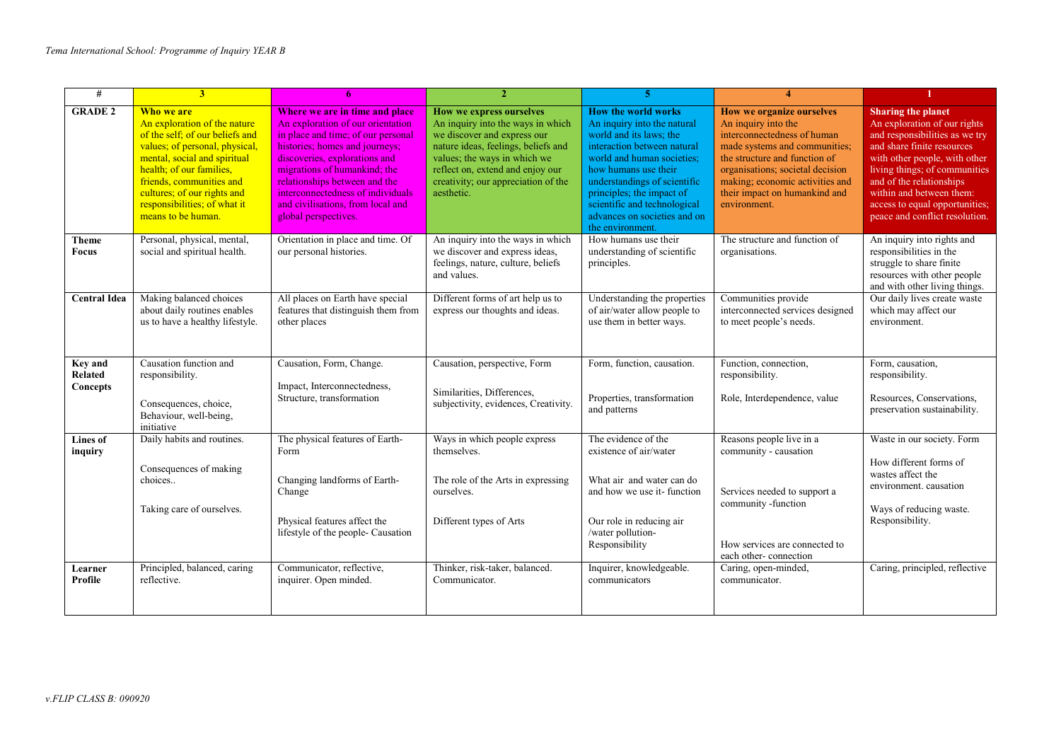| #                                     | 3 <sup>1</sup>                                                                                                                                                                                                                                                                               | 6                                                                                                                                                                                                                                                                                                                                               | $\overline{2}$                                                                                                                                                                                                                                               | 5                                                                                                                                                                                                                                                                                                                          | 4                                                                                                                                                                                                                                                                         |                                                                                                                                                                                                                                                                                                                         |
|---------------------------------------|----------------------------------------------------------------------------------------------------------------------------------------------------------------------------------------------------------------------------------------------------------------------------------------------|-------------------------------------------------------------------------------------------------------------------------------------------------------------------------------------------------------------------------------------------------------------------------------------------------------------------------------------------------|--------------------------------------------------------------------------------------------------------------------------------------------------------------------------------------------------------------------------------------------------------------|----------------------------------------------------------------------------------------------------------------------------------------------------------------------------------------------------------------------------------------------------------------------------------------------------------------------------|---------------------------------------------------------------------------------------------------------------------------------------------------------------------------------------------------------------------------------------------------------------------------|-------------------------------------------------------------------------------------------------------------------------------------------------------------------------------------------------------------------------------------------------------------------------------------------------------------------------|
| <b>GRADE 2</b>                        | Who we are<br>An exploration of the nature<br>of the self; of our beliefs and<br>values; of personal, physical,<br>mental, social and spiritual<br>health; of our families,<br>friends, communities and<br>cultures; of our rights and<br>responsibilities; of what it<br>means to be human. | Where we are in time and place<br>An exploration of our orientation<br>in place and time; of our personal<br>histories; homes and journeys;<br>discoveries, explorations and<br>migrations of humankind; the<br>relationships between and the<br>interconnectedness of individuals<br>and civilisations, from local and<br>global perspectives. | How we express ourselves<br>An inquiry into the ways in which<br>we discover and express our<br>nature ideas, feelings, beliefs and<br>values; the ways in which we<br>reflect on, extend and enjoy our<br>creativity; our appreciation of the<br>aesthetic. | <b>How the world works</b><br>An inquiry into the natural<br>world and its laws; the<br>interaction between natural<br>world and human societies:<br>how humans use their<br>understandings of scientific<br>principles; the impact of<br>scientific and technological<br>advances on societies and on<br>the environment. | How we organize ourselves<br>An inquiry into the<br>interconnectedness of human<br>made systems and communities;<br>the structure and function of<br>organisations; societal decision<br>making; economic activities and<br>their impact on humankind and<br>environment. | <b>Sharing the planet</b><br>An exploration of our rights<br>and responsibilities as we try<br>and share finite resources<br>with other people, with other<br>living things; of communities<br>and of the relationships<br>within and between them:<br>access to equal opportunities;<br>peace and conflict resolution. |
| Theme<br>Focus                        | Personal, physical, mental,<br>social and spiritual health.                                                                                                                                                                                                                                  | Orientation in place and time. Of<br>our personal histories.                                                                                                                                                                                                                                                                                    | An inquiry into the ways in which<br>we discover and express ideas,<br>feelings, nature, culture, beliefs<br>and values.                                                                                                                                     | How humans use their<br>understanding of scientific<br>principles.                                                                                                                                                                                                                                                         | The structure and function of<br>organisations.                                                                                                                                                                                                                           | An inquiry into rights and<br>responsibilities in the<br>struggle to share finite<br>resources with other people<br>and with other living things.                                                                                                                                                                       |
| <b>Central Idea</b>                   | Making balanced choices<br>about daily routines enables<br>us to have a healthy lifestyle.                                                                                                                                                                                                   | All places on Earth have special<br>features that distinguish them from<br>other places                                                                                                                                                                                                                                                         | Different forms of art help us to<br>express our thoughts and ideas.                                                                                                                                                                                         | Understanding the properties<br>of air/water allow people to<br>use them in better ways.                                                                                                                                                                                                                                   | Communities provide<br>interconnected services designed<br>to meet people's needs.                                                                                                                                                                                        | Our daily lives create waste<br>which may affect our<br>environment.                                                                                                                                                                                                                                                    |
| <b>Kev</b> and<br>Related<br>Concepts | Causation function and<br>responsibility.<br>Consequences, choice,<br>Behaviour, well-being,<br>initiative                                                                                                                                                                                   | Causation, Form, Change.<br>Impact, Interconnectedness,<br>Structure, transformation                                                                                                                                                                                                                                                            | Causation, perspective, Form<br>Similarities, Differences,<br>subjectivity, evidences, Creativity.                                                                                                                                                           | Form, function, causation.<br>Properties, transformation<br>and patterns                                                                                                                                                                                                                                                   | Function, connection,<br>responsibility.<br>Role, Interdependence, value                                                                                                                                                                                                  | Form, causation,<br>responsibility.<br>Resources, Conservations,<br>preservation sustainability.                                                                                                                                                                                                                        |
| Lines of<br>inquiry                   | Daily habits and routines.<br>Consequences of making<br>choices<br>Taking care of ourselves.                                                                                                                                                                                                 | The physical features of Earth-<br>Form<br>Changing landforms of Earth-<br>Change<br>Physical features affect the<br>lifestyle of the people- Causation                                                                                                                                                                                         | Ways in which people express<br>themselves.<br>The role of the Arts in expressing<br>ourselves.<br>Different types of Arts                                                                                                                                   | The evidence of the<br>existence of air/water<br>What air and water can do<br>and how we use it- function<br>Our role in reducing air<br>/water pollution-<br>Responsibility                                                                                                                                               | Reasons people live in a<br>community - causation<br>Services needed to support a<br>community -function<br>How services are connected to<br>each other-connection                                                                                                        | Waste in our society. Form<br>How different forms of<br>wastes affect the<br>environment. causation<br>Ways of reducing waste.<br>Responsibility.                                                                                                                                                                       |
| Learner<br>Profile                    | Principled, balanced, caring<br>reflective.                                                                                                                                                                                                                                                  | Communicator, reflective,<br>inquirer. Open minded.                                                                                                                                                                                                                                                                                             | Thinker, risk-taker, balanced.<br>Communicator.                                                                                                                                                                                                              | Inquirer, knowledgeable.<br>communicators                                                                                                                                                                                                                                                                                  | Caring, open-minded,<br>communicator.                                                                                                                                                                                                                                     | Caring, principled, reflective                                                                                                                                                                                                                                                                                          |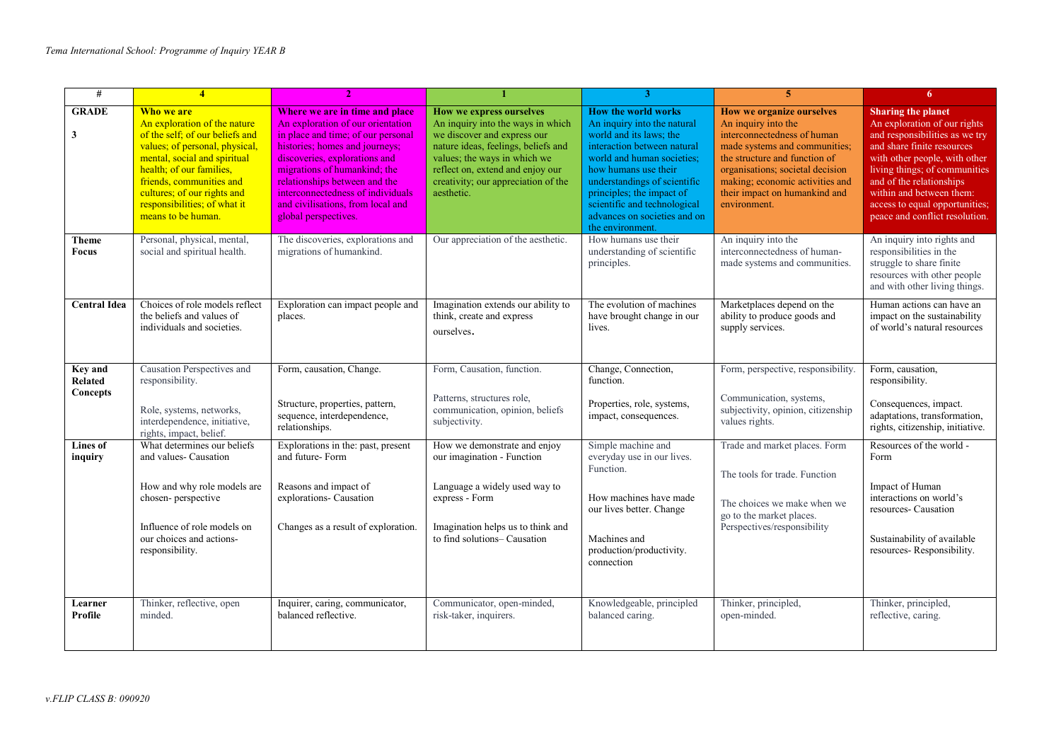| #                                                                   | $\overline{4}$                                                                                                                                                                                                                                                                               |                                                                                                                                                                                                                                                                                                                                                 |                                                                                                                                                                                                                                                              |                                                                                                                                                                                                                                                                                                                            | 5                                                                                                                                                                                                                                                                         | 6                                                                                                                                                                                                                                                                                                                       |
|---------------------------------------------------------------------|----------------------------------------------------------------------------------------------------------------------------------------------------------------------------------------------------------------------------------------------------------------------------------------------|-------------------------------------------------------------------------------------------------------------------------------------------------------------------------------------------------------------------------------------------------------------------------------------------------------------------------------------------------|--------------------------------------------------------------------------------------------------------------------------------------------------------------------------------------------------------------------------------------------------------------|----------------------------------------------------------------------------------------------------------------------------------------------------------------------------------------------------------------------------------------------------------------------------------------------------------------------------|---------------------------------------------------------------------------------------------------------------------------------------------------------------------------------------------------------------------------------------------------------------------------|-------------------------------------------------------------------------------------------------------------------------------------------------------------------------------------------------------------------------------------------------------------------------------------------------------------------------|
| <b>GRADE</b><br>3                                                   | Who we are<br>An exploration of the nature<br>of the self; of our beliefs and<br>values; of personal, physical,<br>mental, social and spiritual<br>health; of our families,<br>friends, communities and<br>cultures; of our rights and<br>responsibilities; of what it<br>means to be human. | Where we are in time and place<br>An exploration of our orientation<br>in place and time; of our personal<br>histories; homes and journeys;<br>discoveries, explorations and<br>migrations of humankind; the<br>relationships between and the<br>interconnectedness of individuals<br>and civilisations, from local and<br>global perspectives. | How we express ourselves<br>An inquiry into the ways in which<br>we discover and express our<br>nature ideas, feelings, beliefs and<br>values; the ways in which we<br>reflect on, extend and enjoy our<br>creativity; our appreciation of the<br>aesthetic. | <b>How the world works</b><br>An inquiry into the natural<br>world and its laws; the<br>interaction between natural<br>world and human societies;<br>how humans use their<br>understandings of scientific<br>principles; the impact of<br>scientific and technological<br>advances on societies and on<br>the environment. | How we organize ourselves<br>An inquiry into the<br>interconnectedness of human<br>made systems and communities;<br>the structure and function of<br>organisations; societal decision<br>making; economic activities and<br>their impact on humankind and<br>environment. | <b>Sharing the planet</b><br>An exploration of our rights<br>and responsibilities as we try<br>and share finite resources<br>with other people, with other<br>living things; of communities<br>and of the relationships<br>within and between them:<br>access to equal opportunities;<br>peace and conflict resolution. |
| Theme<br>Focus                                                      | Personal, physical, mental,<br>social and spiritual health.                                                                                                                                                                                                                                  | The discoveries, explorations and<br>migrations of humankind.                                                                                                                                                                                                                                                                                   | Our appreciation of the aesthetic.                                                                                                                                                                                                                           | How humans use their<br>understanding of scientific<br>principles.                                                                                                                                                                                                                                                         | An inquiry into the<br>interconnectedness of human-<br>made systems and communities.                                                                                                                                                                                      | An inquiry into rights and<br>responsibilities in the<br>struggle to share finite<br>resources with other people<br>and with other living things.                                                                                                                                                                       |
| <b>Central Idea</b>                                                 | Choices of role models reflect<br>the beliefs and values of<br>individuals and societies.                                                                                                                                                                                                    | Exploration can impact people and<br>places.                                                                                                                                                                                                                                                                                                    | Imagination extends our ability to<br>think, create and express<br>ourselves.                                                                                                                                                                                | The evolution of machines<br>have brought change in our<br>lives.                                                                                                                                                                                                                                                          | Marketplaces depend on the<br>ability to produce goods and<br>supply services.                                                                                                                                                                                            | Human actions can have an<br>impact on the sustainability<br>of world's natural resources                                                                                                                                                                                                                               |
| <b>Key and</b><br>Related<br>Concepts<br><b>Lines of</b><br>inquiry | Causation Perspectives and<br>responsibility.<br>Role, systems, networks,<br>interdependence, initiative,<br>rights, impact, belief.<br>What determines our beliefs<br>and values- Causation                                                                                                 | Form, causation, Change.<br>Structure, properties, pattern,<br>sequence, interdependence,<br>relationships.<br>Explorations in the: past, present<br>and future-Form                                                                                                                                                                            | Form, Causation, function.<br>Patterns, structures role,<br>communication, opinion, beliefs<br>subjectivity.<br>How we demonstrate and enjoy<br>our imagination - Function                                                                                   | Change, Connection,<br>function.<br>Properties, role, systems,<br>impact, consequences.<br>Simple machine and<br>everyday use in our lives.                                                                                                                                                                                | Form, perspective, responsibility.<br>Communication, systems,<br>subjectivity, opinion, citizenship<br>values rights.<br>Trade and market places. Form                                                                                                                    | Form, causation,<br>responsibility.<br>Consequences, impact.<br>adaptations, transformation,<br>rights, citizenship, initiative.<br>Resources of the world -<br>Form                                                                                                                                                    |
|                                                                     | How and why role models are<br>chosen-perspective<br>Influence of role models on<br>our choices and actions-<br>responsibility.                                                                                                                                                              | Reasons and impact of<br>explorations- Causation<br>Changes as a result of exploration.                                                                                                                                                                                                                                                         | Language a widely used way to<br>express - Form<br>Imagination helps us to think and<br>to find solutions-Causation                                                                                                                                          | Function.<br>How machines have made<br>our lives better. Change<br>Machines and<br>production/productivity.<br>connection                                                                                                                                                                                                  | The tools for trade. Function<br>The choices we make when we<br>go to the market places.<br>Perspectives/responsibility                                                                                                                                                   | Impact of Human<br>interactions on world's<br>resources- Causation<br>Sustainability of available<br>resources-Responsibility.                                                                                                                                                                                          |
| Learner<br>Profile                                                  | Thinker, reflective, open<br>minded.                                                                                                                                                                                                                                                         | Inquirer, caring, communicator,<br>balanced reflective.                                                                                                                                                                                                                                                                                         | Communicator, open-minded,<br>risk-taker, inquirers.                                                                                                                                                                                                         | Knowledgeable, principled<br>balanced caring.                                                                                                                                                                                                                                                                              | Thinker, principled,<br>open-minded.                                                                                                                                                                                                                                      | Thinker, principled,<br>reflective, caring.                                                                                                                                                                                                                                                                             |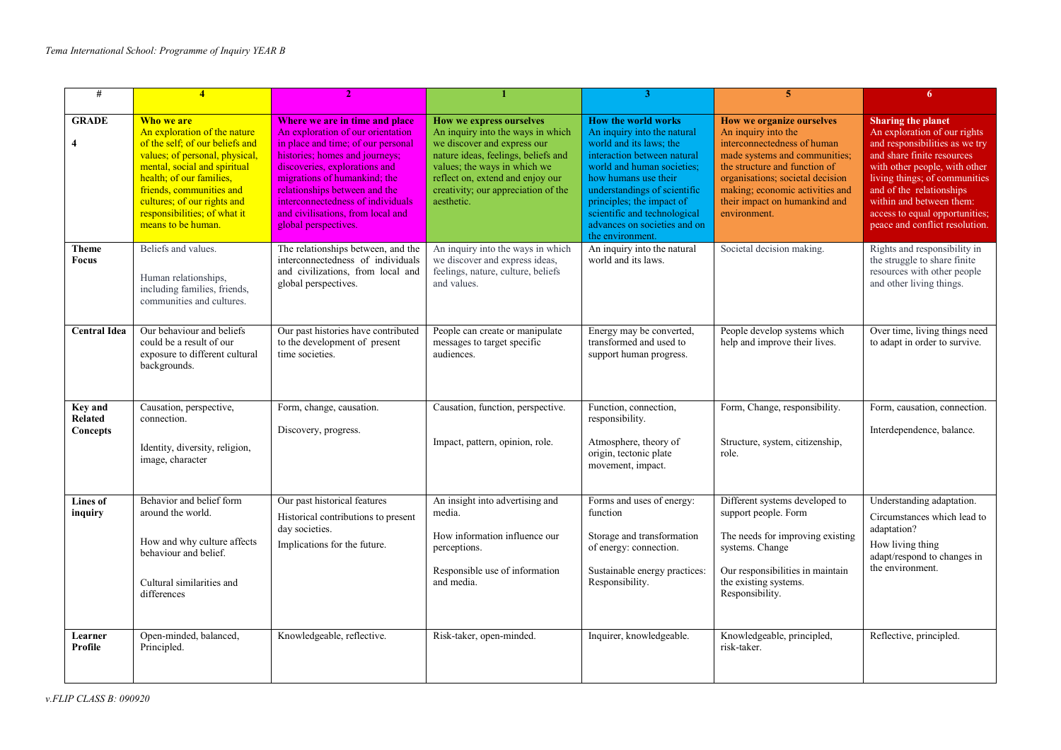| #                                            | $\overline{\mathbf{4}}$                                                                                                                                                                                                                                                                      |                                                                                                                                                                                                                                                                                                                                                 |                                                                                                                                                                                                                                                              | 3                                                                                                                                                                                                                                                                                                                          | 5                                                                                                                                                                                                                                                                         | 6                                                                                                                                                                                                                                                                                                                       |
|----------------------------------------------|----------------------------------------------------------------------------------------------------------------------------------------------------------------------------------------------------------------------------------------------------------------------------------------------|-------------------------------------------------------------------------------------------------------------------------------------------------------------------------------------------------------------------------------------------------------------------------------------------------------------------------------------------------|--------------------------------------------------------------------------------------------------------------------------------------------------------------------------------------------------------------------------------------------------------------|----------------------------------------------------------------------------------------------------------------------------------------------------------------------------------------------------------------------------------------------------------------------------------------------------------------------------|---------------------------------------------------------------------------------------------------------------------------------------------------------------------------------------------------------------------------------------------------------------------------|-------------------------------------------------------------------------------------------------------------------------------------------------------------------------------------------------------------------------------------------------------------------------------------------------------------------------|
| <b>GRADE</b><br>4                            | Who we are<br>An exploration of the nature<br>of the self; of our beliefs and<br>values; of personal, physical,<br>mental, social and spiritual<br>health; of our families,<br>friends, communities and<br>cultures; of our rights and<br>responsibilities; of what it<br>means to be human. | Where we are in time and place<br>An exploration of our orientation<br>in place and time; of our personal<br>histories; homes and journeys;<br>discoveries, explorations and<br>migrations of humankind; the<br>relationships between and the<br>interconnectedness of individuals<br>and civilisations, from local and<br>global perspectives. | How we express ourselves<br>An inquiry into the ways in which<br>we discover and express our<br>nature ideas, feelings, beliefs and<br>values; the ways in which we<br>reflect on, extend and enjoy our<br>creativity; our appreciation of the<br>aesthetic. | <b>How the world works</b><br>An inquiry into the natural<br>world and its laws: the<br>interaction between natural<br>world and human societies;<br>how humans use their<br>understandings of scientific<br>principles; the impact of<br>scientific and technological<br>advances on societies and on<br>the environment. | How we organize ourselves<br>An inquiry into the<br>interconnectedness of human<br>made systems and communities;<br>the structure and function of<br>organisations; societal decision<br>making; economic activities and<br>their impact on humankind and<br>environment. | <b>Sharing the planet</b><br>An exploration of our rights<br>and responsibilities as we try<br>and share finite resources<br>with other people, with other<br>living things; of communities<br>and of the relationships<br>within and between them:<br>access to equal opportunities;<br>peace and conflict resolution. |
| <b>Theme</b><br><b>Focus</b>                 | Beliefs and values.<br>Human relationships,<br>including families, friends,<br>communities and cultures.                                                                                                                                                                                     | The relationships between, and the<br>interconnectedness of individuals<br>and civilizations, from local and<br>global perspectives.                                                                                                                                                                                                            | An inquiry into the ways in which<br>we discover and express ideas,<br>feelings, nature, culture, beliefs<br>and values.                                                                                                                                     | An inquiry into the natural<br>world and its laws.                                                                                                                                                                                                                                                                         | Societal decision making.                                                                                                                                                                                                                                                 | Rights and responsibility in<br>the struggle to share finite<br>resources with other people<br>and other living things.                                                                                                                                                                                                 |
| <b>Central Idea</b>                          | Our behaviour and beliefs<br>could be a result of our<br>exposure to different cultural<br>backgrounds.                                                                                                                                                                                      | Our past histories have contributed<br>to the development of present<br>time societies.                                                                                                                                                                                                                                                         | People can create or manipulate<br>messages to target specific<br>audiences.                                                                                                                                                                                 | Energy may be converted,<br>transformed and used to<br>support human progress.                                                                                                                                                                                                                                             | People develop systems which<br>help and improve their lives.                                                                                                                                                                                                             | Over time, living things need<br>to adapt in order to survive.                                                                                                                                                                                                                                                          |
| <b>Key and</b><br><b>Related</b><br>Concepts | Causation, perspective,<br>connection.<br>Identity, diversity, religion,<br>image, character                                                                                                                                                                                                 | Form, change, causation.<br>Discovery, progress.                                                                                                                                                                                                                                                                                                | Causation, function, perspective.<br>Impact, pattern, opinion, role.                                                                                                                                                                                         | Function, connection,<br>responsibility.<br>Atmosphere, theory of<br>origin, tectonic plate<br>movement, impact.                                                                                                                                                                                                           | Form, Change, responsibility.<br>Structure, system, citizenship,<br>role.                                                                                                                                                                                                 | Form, causation, connection.<br>Interdependence, balance.                                                                                                                                                                                                                                                               |
| Lines of<br>inquiry                          | Behavior and belief form<br>around the world.<br>How and why culture affects<br>behaviour and belief.<br>Cultural similarities and<br>differences                                                                                                                                            | Our past historical features<br>Historical contributions to present<br>day societies.<br>Implications for the future.                                                                                                                                                                                                                           | An insight into advertising and<br>media.<br>How information influence our<br>perceptions.<br>Responsible use of information<br>and media.                                                                                                                   | Forms and uses of energy:<br>function<br>Storage and transformation<br>of energy: connection.<br>Sustainable energy practices:<br>Responsibility.                                                                                                                                                                          | Different systems developed to<br>support people. Form<br>The needs for improving existing<br>systems. Change<br>Our responsibilities in maintain<br>the existing systems.<br>Responsibility.                                                                             | Understanding adaptation.<br>Circumstances which lead to<br>adaptation?<br>How living thing<br>adapt/respond to changes in<br>the environment.                                                                                                                                                                          |
| Learner<br>Profile                           | Open-minded, balanced,<br>Principled.                                                                                                                                                                                                                                                        | Knowledgeable, reflective.                                                                                                                                                                                                                                                                                                                      | Risk-taker, open-minded.                                                                                                                                                                                                                                     | Inquirer, knowledgeable.                                                                                                                                                                                                                                                                                                   | Knowledgeable, principled,<br>risk-taker.                                                                                                                                                                                                                                 | Reflective, principled.                                                                                                                                                                                                                                                                                                 |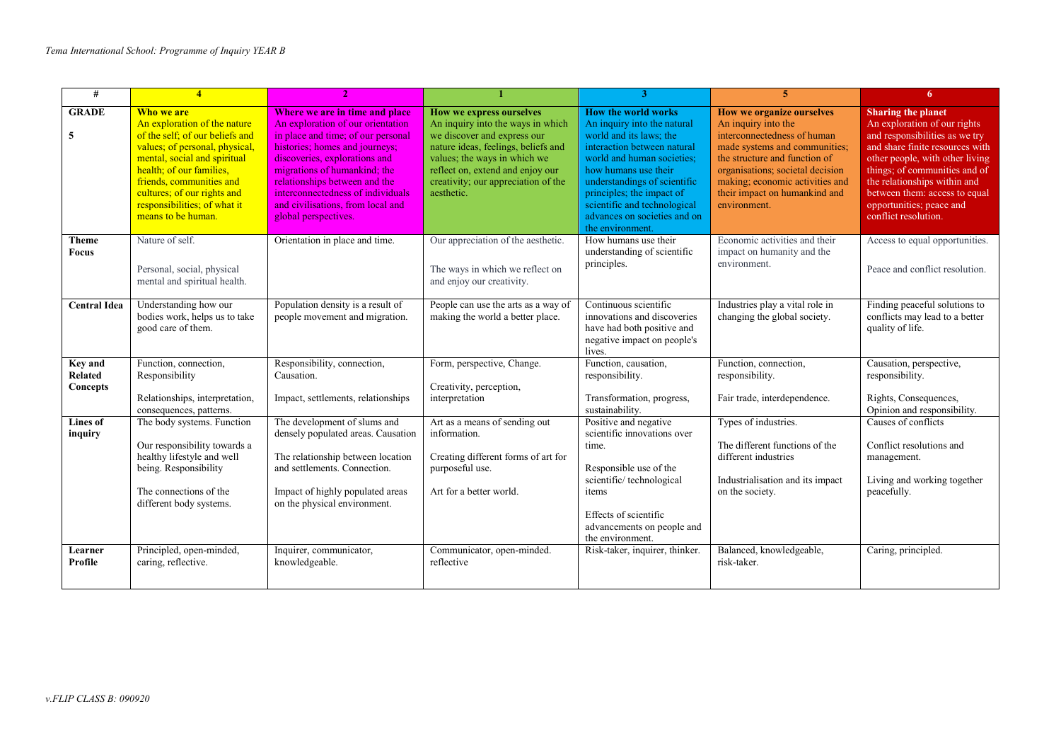| #                                     | $\overline{4}$                                                                                                                                                                                                                                                                               |                                                                                                                                                                                                                                                                                                                                                 |                                                                                                                                                                                                                                                              | 3                                                                                                                                                                                                                                                                                                                   | $\overline{5}$                                                                                                                                                                                                                                                                   | 6.                                                                                                                                                                                                                                                                                                                      |
|---------------------------------------|----------------------------------------------------------------------------------------------------------------------------------------------------------------------------------------------------------------------------------------------------------------------------------------------|-------------------------------------------------------------------------------------------------------------------------------------------------------------------------------------------------------------------------------------------------------------------------------------------------------------------------------------------------|--------------------------------------------------------------------------------------------------------------------------------------------------------------------------------------------------------------------------------------------------------------|---------------------------------------------------------------------------------------------------------------------------------------------------------------------------------------------------------------------------------------------------------------------------------------------------------------------|----------------------------------------------------------------------------------------------------------------------------------------------------------------------------------------------------------------------------------------------------------------------------------|-------------------------------------------------------------------------------------------------------------------------------------------------------------------------------------------------------------------------------------------------------------------------------------------------------------------------|
| <b>GRADE</b><br>5                     | Who we are<br>An exploration of the nature<br>of the self; of our beliefs and<br>values; of personal, physical,<br>mental, social and spiritual<br>health; of our families,<br>friends, communities and<br>cultures; of our rights and<br>responsibilities; of what it<br>means to be human. | Where we are in time and place<br>An exploration of our orientation<br>in place and time; of our personal<br>histories; homes and journeys;<br>discoveries, explorations and<br>migrations of humankind; the<br>relationships between and the<br>interconnectedness of individuals<br>and civilisations, from local and<br>global perspectives. | How we express ourselves<br>An inquiry into the ways in which<br>we discover and express our<br>nature ideas, feelings, beliefs and<br>values; the ways in which we<br>reflect on, extend and enjoy our<br>creativity; our appreciation of the<br>aesthetic. | How the world works<br>An inquiry into the natural<br>world and its laws; the<br>interaction between natural<br>world and human societies:<br>how humans use their<br>understandings of scientific<br>principles; the impact of<br>scientific and technological<br>advances on societies and on<br>the environment. | <b>How we organize ourselves</b><br>An inquiry into the<br>interconnectedness of human<br>made systems and communities;<br>the structure and function of<br>organisations; societal decision<br>making; economic activities and<br>their impact on humankind and<br>environment. | <b>Sharing the planet</b><br>An exploration of our rights<br>and responsibilities as we try<br>and share finite resources with<br>other people, with other living<br>things; of communities and of<br>the relationships within and<br>between them: access to equal<br>opportunities; peace and<br>conflict resolution. |
| <b>Theme</b><br><b>Focus</b>          | Nature of self.<br>Personal, social, physical<br>mental and spiritual health.                                                                                                                                                                                                                | Orientation in place and time.                                                                                                                                                                                                                                                                                                                  | Our appreciation of the aesthetic.<br>The ways in which we reflect on<br>and enjoy our creativity.                                                                                                                                                           | How humans use their<br>understanding of scientific<br>principles.                                                                                                                                                                                                                                                  | Economic activities and their<br>impact on humanity and the<br>environment.                                                                                                                                                                                                      | Access to equal opportunities.<br>Peace and conflict resolution.                                                                                                                                                                                                                                                        |
| <b>Central Idea</b>                   | Understanding how our<br>bodies work, helps us to take<br>good care of them.                                                                                                                                                                                                                 | Population density is a result of<br>people movement and migration.                                                                                                                                                                                                                                                                             | People can use the arts as a way of<br>making the world a better place.                                                                                                                                                                                      | Continuous scientific<br>innovations and discoveries<br>have had both positive and<br>negative impact on people's<br>lives.                                                                                                                                                                                         | Industries play a vital role in<br>changing the global society.                                                                                                                                                                                                                  | Finding peaceful solutions to<br>conflicts may lead to a better<br>quality of life.                                                                                                                                                                                                                                     |
| <b>Key and</b><br>Related<br>Concepts | Function, connection,<br>Responsibility<br>Relationships, interpretation,<br>consequences, patterns.                                                                                                                                                                                         | Responsibility, connection,<br>Causation.<br>Impact, settlements, relationships                                                                                                                                                                                                                                                                 | Form, perspective, Change.<br>Creativity, perception,<br>interpretation                                                                                                                                                                                      | Function, causation,<br>responsibility.<br>Transformation, progress,<br>sustainability.                                                                                                                                                                                                                             | Function, connection,<br>responsibility.<br>Fair trade, interdependence.                                                                                                                                                                                                         | Causation, perspective,<br>responsibility.<br>Rights, Consequences,<br>Opinion and responsibility.                                                                                                                                                                                                                      |
| Lines of<br>inquiry                   | The body systems. Function<br>Our responsibility towards a<br>healthy lifestyle and well<br>being. Responsibility<br>The connections of the<br>different body systems.                                                                                                                       | The development of slums and<br>densely populated areas. Causation<br>The relationship between location<br>and settlements. Connection.<br>Impact of highly populated areas<br>on the physical environment.                                                                                                                                     | Art as a means of sending out<br>information.<br>Creating different forms of art for<br>purposeful use.<br>Art for a better world.                                                                                                                           | Positive and negative<br>scientific innovations over<br>time.<br>Responsible use of the<br>scientific/technological<br>items<br>Effects of scientific<br>advancements on people and<br>the environment.                                                                                                             | Types of industries.<br>The different functions of the<br>different industries<br>Industrialisation and its impact<br>on the society.                                                                                                                                            | Causes of conflicts<br>Conflict resolutions and<br>management.<br>Living and working together<br>peacefully.                                                                                                                                                                                                            |
| Learner<br>Profile                    | Principled, open-minded,<br>caring, reflective.                                                                                                                                                                                                                                              | Inquirer, communicator,<br>knowledgeable.                                                                                                                                                                                                                                                                                                       | Communicator, open-minded.<br>reflective                                                                                                                                                                                                                     | Risk-taker, inquirer, thinker.                                                                                                                                                                                                                                                                                      | Balanced, knowledgeable,<br>risk-taker.                                                                                                                                                                                                                                          | Caring, principled.                                                                                                                                                                                                                                                                                                     |